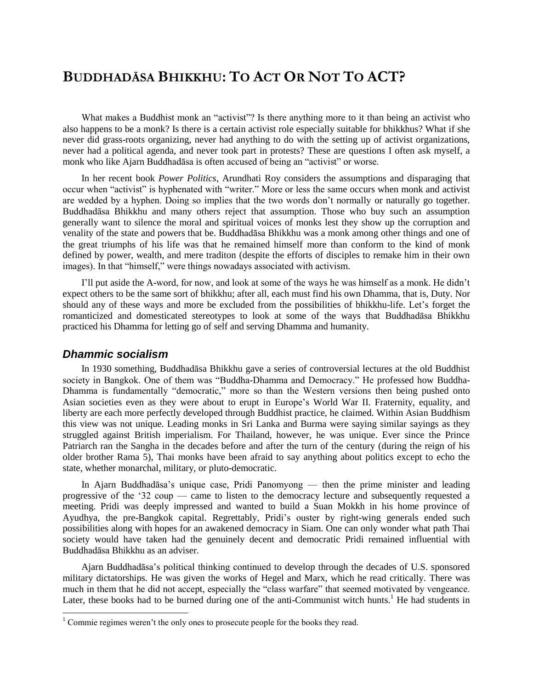# **BUDDHADĀSA BHIKKHU: TO ACT OR NOT TO ACT?**

What makes a Buddhist monk an "activist"? Is there anything more to it than being an activist who also happens to be a monk? Is there is a certain activist role especially suitable for bhikkhus? What if she never did grass-roots organizing, never had anything to do with the setting up of activist organizations, never had a political agenda, and never took part in protests? These are questions I often ask myself, a monk who like Ajarn Buddhadāsa is often accused of being an "activist" or worse.

In her recent book *Power Politics*, Arundhati Roy considers the assumptions and disparaging that occur when "activist" is hyphenated with "writer." More or less the same occurs when monk and activist are wedded by a hyphen. Doing so implies that the two words don"t normally or naturally go together. Buddhadāsa Bhikkhu and many others reject that assumption. Those who buy such an assumption generally want to silence the moral and spiritual voices of monks lest they show up the corruption and venality of the state and powers that be. Buddhadāsa Bhikkhu was a monk among other things and one of the great triumphs of his life was that he remained himself more than conform to the kind of monk defined by power, wealth, and mere traditon (despite the efforts of disciples to remake him in their own images). In that "himself," were things nowadays associated with activism.

I"ll put aside the A-word, for now, and look at some of the ways he was himself as a monk. He didn"t expect others to be the same sort of bhikkhu; after all, each must find his own Dhamma, that is, Duty. Nor should any of these ways and more be excluded from the possibilities of bhikkhu-life. Let's forget the romanticized and domesticated stereotypes to look at some of the ways that Buddhadāsa Bhikkhu practiced his Dhamma for letting go of self and serving Dhamma and humanity.

### *Dhammic socialism*

 $\overline{\phantom{a}}$ 

In 1930 something, Buddhadāsa Bhikkhu gave a series of controversial lectures at the old Buddhist society in Bangkok. One of them was "Buddha-Dhamma and Democracy." He professed how Buddha-Dhamma is fundamentally "democratic," more so than the Western versions then being pushed onto Asian societies even as they were about to erupt in Europe"s World War II. Fraternity, equality, and liberty are each more perfectly developed through Buddhist practice, he claimed. Within Asian Buddhism this view was not unique. Leading monks in Sri Lanka and Burma were saying similar sayings as they struggled against British imperialism. For Thailand, however, he was unique. Ever since the Prince Patriarch ran the Sangha in the decades before and after the turn of the century (during the reign of his older brother Rama 5), Thai monks have been afraid to say anything about politics except to echo the state, whether monarchal, military, or pluto-democratic.

In Ajarn Buddhadāsa"s unique case, Pridi Panomyong — then the prime minister and leading progressive of the "32 coup — came to listen to the democracy lecture and subsequently requested a meeting. Pridi was deeply impressed and wanted to build a Suan Mokkh in his home province of Ayudhya, the pre-Bangkok capital. Regrettably, Pridi's ouster by right-wing generals ended such possibilities along with hopes for an awakened democracy in Siam. One can only wonder what path Thai society would have taken had the genuinely decent and democratic Pridi remained influential with Buddhadāsa Bhikkhu as an adviser.

Ajarn Buddhadāsa"s political thinking continued to develop through the decades of U.S. sponsored military dictatorships. He was given the works of Hegel and Marx, which he read critically. There was much in them that he did not accept, especially the "class warfare" that seemed motivated by vengeance. Later, these books had to be burned during one of the anti-Communist witch hunts.<sup>1</sup> He had students in

 $1$  Commie regimes weren't the only ones to prosecute people for the books they read.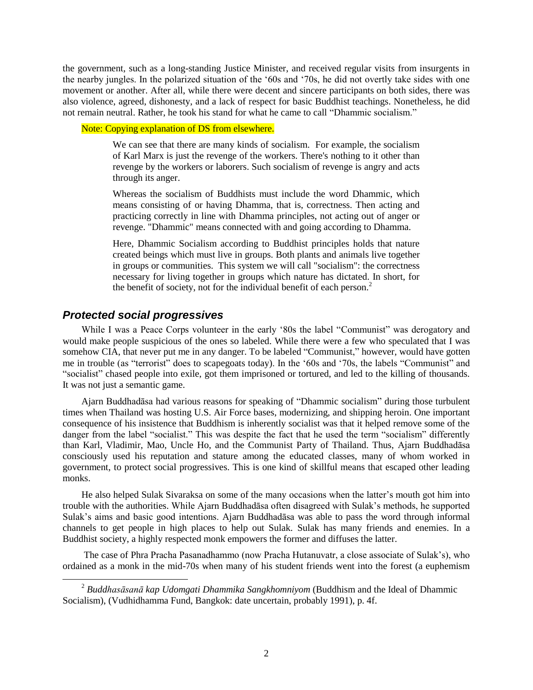the government, such as a long-standing Justice Minister, and received regular visits from insurgents in the nearby jungles. In the polarized situation of the "60s and "70s, he did not overtly take sides with one movement or another. After all, while there were decent and sincere participants on both sides, there was also violence, agreed, dishonesty, and a lack of respect for basic Buddhist teachings. Nonetheless, he did not remain neutral. Rather, he took his stand for what he came to call "Dhammic socialism."

Note: Copying explanation of DS from elsewhere.

We can see that there are many kinds of socialism. For example, the socialism of Karl Marx is just the revenge of the workers. There's nothing to it other than revenge by the workers or laborers. Such socialism of revenge is angry and acts through its anger.

Whereas the socialism of Buddhists must include the word Dhammic, which means consisting of or having Dhamma, that is, correctness. Then acting and practicing correctly in line with Dhamma principles, not acting out of anger or revenge. "Dhammic" means connected with and going according to Dhamma.

Here, Dhammic Socialism according to Buddhist principles holds that nature created beings which must live in groups. Both plants and animals live together in groups or communities. This system we will call "socialism": the correctness necessary for living together in groups which nature has dictated. In short, for the benefit of society, not for the individual benefit of each person.<sup>2</sup>

# *Protected social progressives*

l

While I was a Peace Corps volunteer in the early '80s the label "Communist" was derogatory and would make people suspicious of the ones so labeled. While there were a few who speculated that I was somehow CIA, that never put me in any danger. To be labeled "Communist," however, would have gotten me in trouble (as "terrorist" does to scapegoats today). In the "60s and "70s, the labels "Communist" and "socialist" chased people into exile, got them imprisoned or tortured, and led to the killing of thousands. It was not just a semantic game.

Ajarn Buddhadāsa had various reasons for speaking of "Dhammic socialism" during those turbulent times when Thailand was hosting U.S. Air Force bases, modernizing, and shipping heroin. One important consequence of his insistence that Buddhism is inherently socialist was that it helped remove some of the danger from the label "socialist." This was despite the fact that he used the term "socialism" differently than Karl, Vladimir, Mao, Uncle Ho, and the Communist Party of Thailand. Thus, Ajarn Buddhadāsa consciously used his reputation and stature among the educated classes, many of whom worked in government, to protect social progressives. This is one kind of skillful means that escaped other leading monks.

He also helped Sulak Sivaraksa on some of the many occasions when the latter"s mouth got him into trouble with the authorities. While Ajarn Buddhadāsa often disagreed with Sulak"s methods, he supported Sulak"s aims and basic good intentions. Ajarn Buddhadāsa was able to pass the word through informal channels to get people in high places to help out Sulak. Sulak has many friends and enemies. In a Buddhist society, a highly respected monk empowers the former and diffuses the latter.

The case of Phra Pracha Pasanadhammo (now Pracha Hutanuvatr, a close associate of Sulak"s), who ordained as a monk in the mid-70s when many of his student friends went into the forest (a euphemism

<sup>2</sup> *Buddhasāsanā kap Udomgati Dhammika Sangkhomniyom* (Buddhism and the Ideal of Dhammic Socialism), (Vudhidhamma Fund, Bangkok: date uncertain, probably 1991), p. 4f.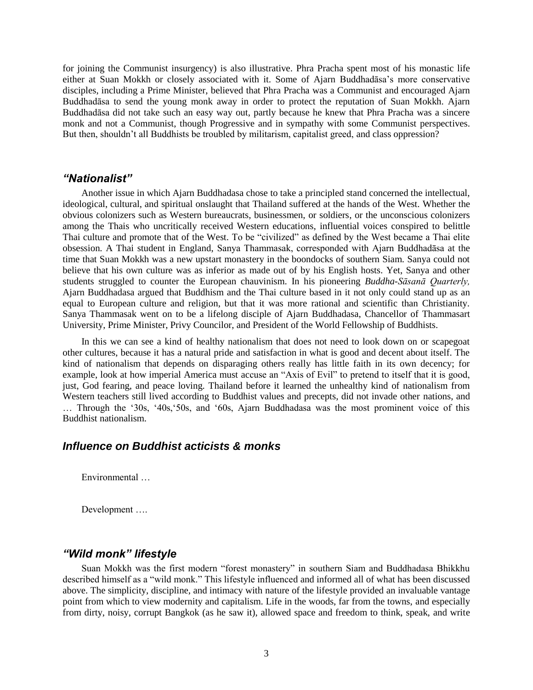for joining the Communist insurgency) is also illustrative. Phra Pracha spent most of his monastic life either at Suan Mokkh or closely associated with it. Some of Ajarn Buddhadāsa"s more conservative disciples, including a Prime Minister, believed that Phra Pracha was a Communist and encouraged Ajarn Buddhadāsa to send the young monk away in order to protect the reputation of Suan Mokkh. Ajarn Buddhadāsa did not take such an easy way out, partly because he knew that Phra Pracha was a sincere monk and not a Communist, though Progressive and in sympathy with some Communist perspectives. But then, shouldn"t all Buddhists be troubled by militarism, capitalist greed, and class oppression?

### *"Nationalist"*

Another issue in which Ajarn Buddhadasa chose to take a principled stand concerned the intellectual, ideological, cultural, and spiritual onslaught that Thailand suffered at the hands of the West. Whether the obvious colonizers such as Western bureaucrats, businessmen, or soldiers, or the unconscious colonizers among the Thais who uncritically received Western educations, influential voices conspired to belittle Thai culture and promote that of the West. To be "civilized" as defined by the West became a Thai elite obsession. A Thai student in England, Sanya Thammasak, corresponded with Ajarn Buddhadāsa at the time that Suan Mokkh was a new upstart monastery in the boondocks of southern Siam. Sanya could not believe that his own culture was as inferior as made out of by his English hosts. Yet, Sanya and other students struggled to counter the European chauvinism. In his pioneering *Buddha-Sāsanā Quarterly,* Ajarn Buddhadasa argued that Buddhism and the Thai culture based in it not only could stand up as an equal to European culture and religion, but that it was more rational and scientific than Christianity. Sanya Thammasak went on to be a lifelong disciple of Ajarn Buddhadasa, Chancellor of Thammasart University, Prime Minister, Privy Councilor, and President of the World Fellowship of Buddhists.

In this we can see a kind of healthy nationalism that does not need to look down on or scapegoat other cultures, because it has a natural pride and satisfaction in what is good and decent about itself. The kind of nationalism that depends on disparaging others really has little faith in its own decency; for example, look at how imperial America must accuse an "Axis of Evil" to pretend to itself that it is good, just, God fearing, and peace loving. Thailand before it learned the unhealthy kind of nationalism from Western teachers still lived according to Buddhist values and precepts, did not invade other nations, and ... Through the '30s, '40s, '50s, and '60s, Ajarn Buddhadasa was the most prominent voice of this Buddhist nationalism.

# *Influence on Buddhist acticists & monks*

Environmental …

Development ….

## *"Wild monk" lifestyle*

Suan Mokkh was the first modern "forest monastery" in southern Siam and Buddhadasa Bhikkhu described himself as a "wild monk." This lifestyle influenced and informed all of what has been discussed above. The simplicity, discipline, and intimacy with nature of the lifestyle provided an invaluable vantage point from which to view modernity and capitalism. Life in the woods, far from the towns, and especially from dirty, noisy, corrupt Bangkok (as he saw it), allowed space and freedom to think, speak, and write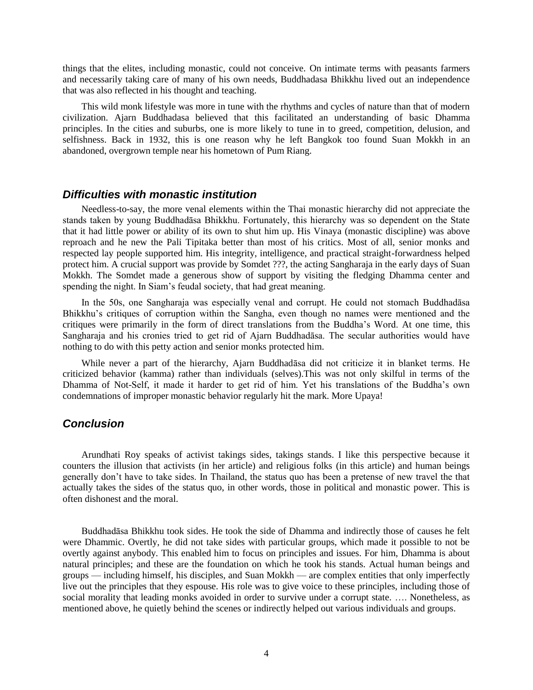things that the elites, including monastic, could not conceive. On intimate terms with peasants farmers and necessarily taking care of many of his own needs, Buddhadasa Bhikkhu lived out an independence that was also reflected in his thought and teaching.

This wild monk lifestyle was more in tune with the rhythms and cycles of nature than that of modern civilization. Ajarn Buddhadasa believed that this facilitated an understanding of basic Dhamma principles. In the cities and suburbs, one is more likely to tune in to greed, competition, delusion, and selfishness. Back in 1932, this is one reason why he left Bangkok too found Suan Mokkh in an abandoned, overgrown temple near his hometown of Pum Riang.

# *Difficulties with monastic institution*

Needless-to-say, the more venal elements within the Thai monastic hierarchy did not appreciate the stands taken by young Buddhadāsa Bhikkhu. Fortunately, this hierarchy was so dependent on the State that it had little power or ability of its own to shut him up. His Vinaya (monastic discipline) was above reproach and he new the Pali Tipitaka better than most of his critics. Most of all, senior monks and respected lay people supported him. His integrity, intelligence, and practical straight-forwardness helped protect him. A crucial support was provide by Somdet ???, the acting Sangharaja in the early days of Suan Mokkh. The Somdet made a generous show of support by visiting the fledging Dhamma center and spending the night. In Siam's feudal society, that had great meaning.

In the 50s, one Sangharaja was especially venal and corrupt. He could not stomach Buddhadāsa Bhikkhu"s critiques of corruption within the Sangha, even though no names were mentioned and the critiques were primarily in the form of direct translations from the Buddha"s Word. At one time, this Sangharaja and his cronies tried to get rid of Ajarn Buddhadāsa. The secular authorities would have nothing to do with this petty action and senior monks protected him.

While never a part of the hierarchy, Ajarn Buddhadāsa did not criticize it in blanket terms. He criticized behavior (kamma) rather than individuals (selves).This was not only skilful in terms of the Dhamma of Not-Self, it made it harder to get rid of him. Yet his translations of the Buddha"s own condemnations of improper monastic behavior regularly hit the mark. More Upaya!

# *Conclusion*

Arundhati Roy speaks of activist takings sides, takings stands. I like this perspective because it counters the illusion that activists (in her article) and religious folks (in this article) and human beings generally don"t have to take sides. In Thailand, the status quo has been a pretense of new travel the that actually takes the sides of the status quo, in other words, those in political and monastic power. This is often dishonest and the moral.

Buddhadāsa Bhikkhu took sides. He took the side of Dhamma and indirectly those of causes he felt were Dhammic. Overtly, he did not take sides with particular groups, which made it possible to not be overtly against anybody. This enabled him to focus on principles and issues. For him, Dhamma is about natural principles; and these are the foundation on which he took his stands. Actual human beings and groups — including himself, his disciples, and Suan Mokkh — are complex entities that only imperfectly live out the principles that they espouse. His role was to give voice to these principles, including those of social morality that leading monks avoided in order to survive under a corrupt state. …. Nonetheless, as mentioned above, he quietly behind the scenes or indirectly helped out various individuals and groups.